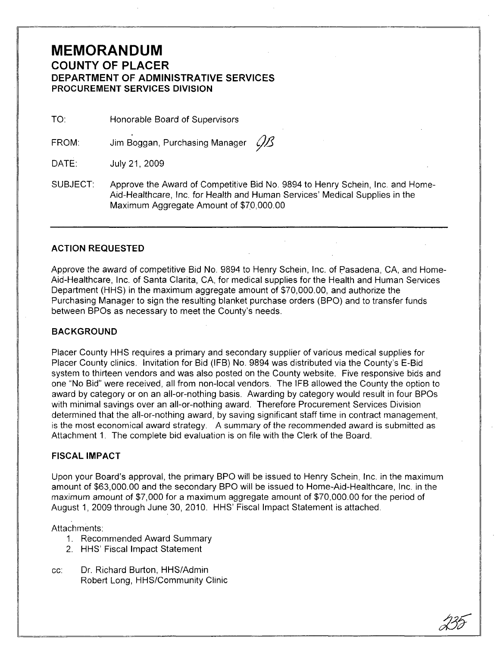# **MEMORANDUM COUNTY OF PLACER**

# **DEPARTMENT OF ADMINISTRATIVE SERVICES PROCUREMENT SERVICES DIVISION**

TO: Honorable Board of Supervisors

FROM: Jim Boggan, Purchasing Manager  $\mathcal{B}$ 

DATE: July 21, 2009

SUBJECT: Approve the Award of Competitive Bid No. 9894 to Henry Schein, Inc. and Home-Aid-Healthcare, Inc. for Health and Human Services' Medical Supplies in the Maximum Aggregate Amount of \$70,000.00

#### **ACTION REQUESTED**

Approve the award of competitive Bid No. 9894 to Henry Schein, Inc. of pasadena, CA, and Home-Aid-Healthcare, Inc. of Santa Clarita, CA, for medical supplies for the Health and Human Services Department (HHS) in the maximum aggregate amount of \$70,000.00, and authorize the Purchasing Manager to sign the resulting blanket purchase orders (BPO) and to transfer funds between BPOs as necessary to meet the County's needs.

#### **BACKGROUND**

Placer County HHS requires a primary and secondary supplier of various medical supplies for Placer County clinics. Invitation for Bid (IFB) No. 9894 was distributed via the County's E-Bid system to thirteen vendors and was also posted on the County website. Five responsive bids and one "No Bid" were received, all from non-local vendors. The IFB allowed the County the option to award by category or on an all-or-nothing basis. Awarding by category would result in four BPOs with minimal savings over an all-or-nothing award. Therefore Procurement Services Division determined that the all-or-nothing award, by saving significant staff time in contract management, is the most economical award strategy. A summary of the recommended award is submitted as Attachment 1. The complete bid evaluation is on file with the Clerk of the Board.

#### **FISCAL IMPACT**

Upon your Board's approval, the primary BPO will be issued to Henry Schein, Inc. in the maximum amount of \$63,000.00 and the secondary BPO will be issued to Home-Aid-Healthcare, Inc. in the maximum amount of \$7,000 for a maximum aggregate amount of \$70,000.00 for the period of August 1, 2009 through June 30, 2010. HHS' Fiscal Impact Statement is attached.

Attachments:

- 1. Recommended Award Summary
- 2. HHS' Fiscal Impact Statement
- cc: Dr. Richard Burton, HHS/Admin Robert Long, HHS/Community Clinic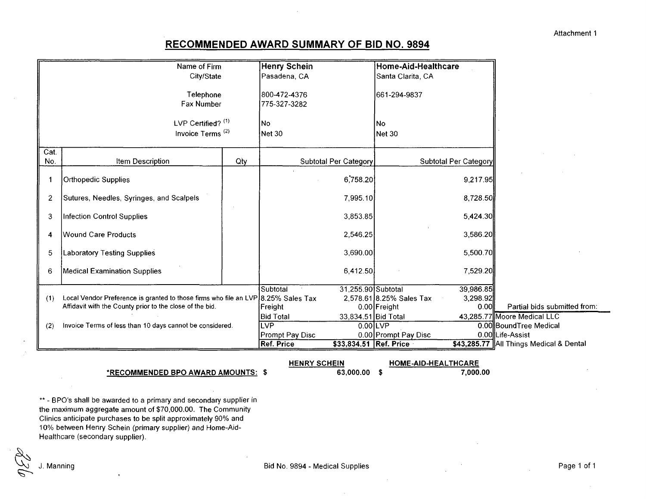## **RECOMMENDED AWARD SUMMARY OF BID NO. 9894**

|                | Name of Firm                                                                      | Henry Schein                  |                        | Home-Aid-Healthcare      |                       |                                           |
|----------------|-----------------------------------------------------------------------------------|-------------------------------|------------------------|--------------------------|-----------------------|-------------------------------------------|
|                | City/State                                                                        | Pasadena, CA                  |                        | Santa Clarita, CA        |                       |                                           |
|                | Telephone<br>Fax Number                                                           | 1800-472-4376<br>775-327-3282 |                        | 661-294-9837             |                       |                                           |
|                | LVP Certified? (1)                                                                | No                            |                        | <b>No</b>                |                       |                                           |
|                | Invoice Terms <sup>(2)</sup>                                                      | Net 30                        |                        | Net 30                   |                       |                                           |
| Cat.           |                                                                                   |                               |                        |                          |                       |                                           |
| No.            | Qty<br><b>Item Description</b>                                                    |                               | Subtotal Per Category  |                          | Subtotal Per Category |                                           |
|                | <b>Orthopedic Supplies</b>                                                        |                               | 6,758.20               |                          | 9,217.95              |                                           |
| $\overline{c}$ | Sutures, Needles, Syringes, and Scalpels                                          |                               | 7,995.10               |                          | 8,728.50              |                                           |
| 3              | Infection Control Supplies                                                        |                               | 3,853.85               |                          | 5,424.30              |                                           |
| 4              | Wound Care Products                                                               |                               | 2,546.25               |                          | 3,586.20              |                                           |
| 5              | <b>Laboratory Testing Supplies</b>                                                |                               | 3,690.00               |                          | 5,500.70              |                                           |
| 6              | <b>Medical Examination Supplies</b>                                               |                               | 6,412.50               |                          | 7,529.20              |                                           |
|                |                                                                                   | Subtotal                      | 31,255.90 Subtotal     |                          | 39,986.85             |                                           |
| (1)            | Local Vendor Preference is granted to those firms who file an LVP 8.25% Sales Tax |                               |                        | 2,578.61 8.25% Sales Tax | 3,298.92              |                                           |
|                | Affidavit with the County prior to the close of the bid.                          | Freight                       |                        | $0.00$ Freight           | 0.00                  | Partial bids submitted from               |
|                |                                                                                   | <b>Bid Total</b>              | 33,834.51 Bid Total    |                          |                       | 43,285.77 Moore Medical LLC               |
| (2)            | Invoice Terms of less than 10 days cannot be considered.                          | <b>LVP</b>                    |                        | $0.00$ LVP               |                       | 0.00 Bound Tree Medical                   |
|                |                                                                                   | Prompt Pay Disc               |                        | 0.00 Prompt Pay Disc     |                       | 0.00 Life-Assist                          |
|                |                                                                                   | Ref. Price                    | \$33,834.51 Ref. Price |                          |                       | \$43,285.77   All Things Medical & Dental |

#### **\*RECOMMENDED SPO AWARD AMOUNTS: \$**

\*\* - BPO's shall be awarded to a primary and secondary supplier in the maximum aggregate amount of \$70,000.00. The Community Clinics anticipate purchases to be split approximately 90% and 10% between Henry Schein (primary supplier) and Home-Aid-Healthcare (secondary supplier).

**HENRY SCHEIN**

**63,000.00 \$**

**HOME-AiD-HEALTHCARE**

**7,000.00**